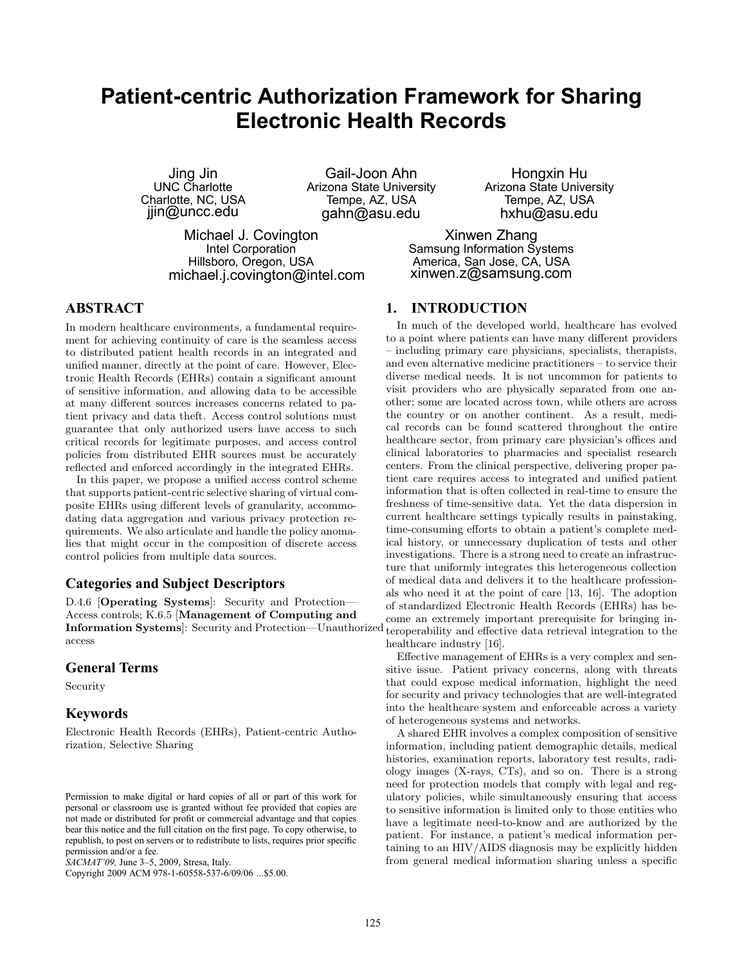# **Patient-centric Authorization Framework for Sharing Electronic Health Records**

Jing Jin UNC Charlotte Charlotte, NC, USA jjin@uncc.edu

Gail-Joon Ahn Arizona State University Tempe, AZ, USA gahn@asu.edu

Michael J. Covington Intel Corporation Hillsboro, Oregon, USA michael.j.covington@intel.com

Hongxin Hu Arizona State University Tempe, AZ, USA hxhu@asu.edu

Xinwen Zhang Samsung Information Systems America, San Jose, CA, USA xinwen.z@samsung.com

# **ABSTRACT**

In modern healthcare environments, a fundamental requirement for achieving continuity of care is the seamless access to distributed patient health records in an integrated and unified manner, directly at the point of care. However, Electronic Health Records (EHRs) contain a significant amount of sensitive information, and allowing data to be accessible at many different sources increases concerns related to patient privacy and data theft. Access control solutions must guarantee that only authorized users have access to such critical records for legitimate purposes, and access control policies from distributed EHR sources must be accurately reflected and enforced accordingly in the integrated EHRs.

In this paper, we propose a unified access control scheme that supports patient-centric selective sharing of virtual composite EHRs using different levels of granularity, accommodating data aggregation and various privacy protection requirements. We also articulate and handle the policy anomalies that might occur in the composition of discrete access control policies from multiple data sources.

# **Categories and Subject Descriptors**

D.4.6 [Operating Systems]: Security and Protection— Access controls; K.6.5 [Management of Computing and Information Systems]: Security and Protection—Unauthorized access

### **General Terms**

Security

#### **Keywords**

Electronic Health Records (EHRs), Patient-centric Authorization, Selective Sharing

Copyright 2009 ACM 978-1-60558-537-6/09/06 ...\$5.00.

#### **1. INTRODUCTION**

In much of the developed world, healthcare has evolved to a point where patients can have many different providers – including primary care physicians, specialists, therapists, and even alternative medicine practitioners – to service their diverse medical needs. It is not uncommon for patients to visit providers who are physically separated from one another; some are located across town, while others are across the country or on another continent. As a result, medical records can be found scattered throughout the entire healthcare sector, from primary care physician's offices and clinical laboratories to pharmacies and specialist research centers. From the clinical perspective, delivering proper patient care requires access to integrated and unified patient information that is often collected in real-time to ensure the freshness of time-sensitive data. Yet the data dispersion in current healthcare settings typically results in painstaking, time-consuming efforts to obtain a patient's complete medical history, or unnecessary duplication of tests and other investigations. There is a strong need to create an infrastructure that uniformly integrates this heterogeneous collection of medical data and delivers it to the healthcare professionals who need it at the point of care [13, 16]. The adoption of standardized Electronic Health Records (EHRs) has become an extremely important prerequisite for bringing interoperability and effective data retrieval integration to the healthcare industry [16].

Effective management of EHRs is a very complex and sensitive issue. Patient privacy concerns, along with threats that could expose medical information, highlight the need for security and privacy technologies that are well-integrated into the healthcare system and enforceable across a variety of heterogeneous systems and networks.

A shared EHR involves a complex composition of sensitive information, including patient demographic details, medical histories, examination reports, laboratory test results, radiology images (X-rays, CTs), and so on. There is a strong need for protection models that comply with legal and regulatory policies, while simultaneously ensuring that access to sensitive information is limited only to those entities who have a legitimate need-to-know and are authorized by the patient. For instance, a patient's medical information pertaining to an HIV/AIDS diagnosis may be explicitly hidden from general medical information sharing unless a specific

Permission to make digital or hard copies of all or part of this work for personal or classroom use is granted without fee provided that copies are not made or distributed for profit or commercial advantage and that copies bear this notice and the full citation on the first page. To copy otherwise, to republish, to post on servers or to redistribute to lists, requires prior specific permission and/or a fee.

*SACMAT'09,* June 3–5, 2009, Stresa, Italy.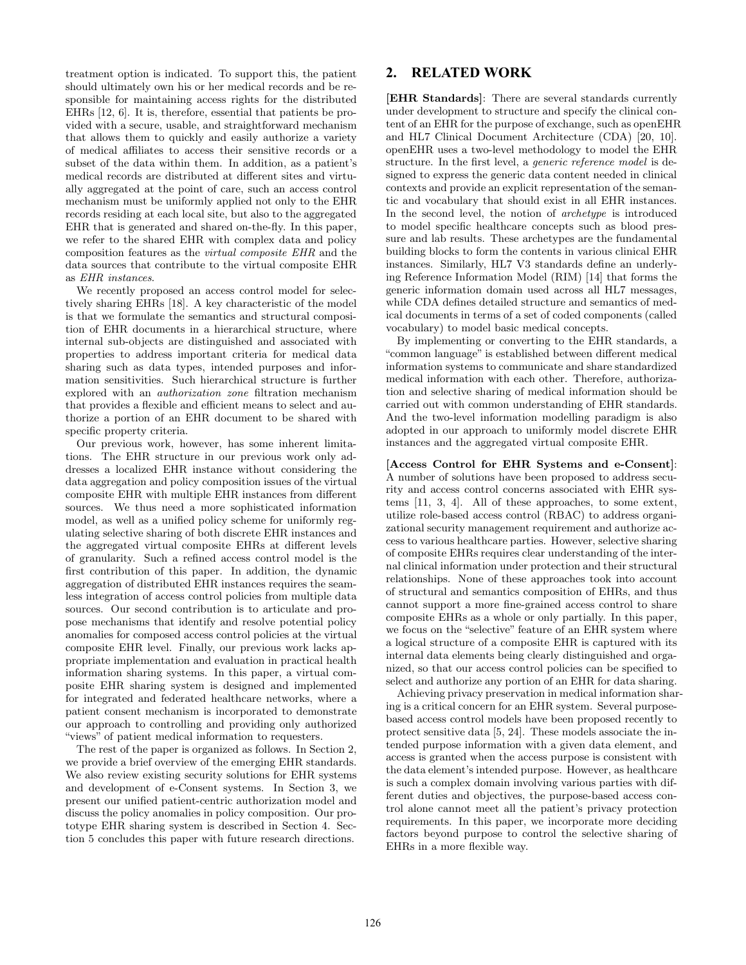treatment option is indicated. To support this, the patient should ultimately own his or her medical records and be responsible for maintaining access rights for the distributed EHRs [12, 6]. It is, therefore, essential that patients be provided with a secure, usable, and straightforward mechanism that allows them to quickly and easily authorize a variety of medical affiliates to access their sensitive records or a subset of the data within them. In addition, as a patient's medical records are distributed at different sites and virtually aggregated at the point of care, such an access control mechanism must be uniformly applied not only to the EHR records residing at each local site, but also to the aggregated EHR that is generated and shared on-the-fly. In this paper, we refer to the shared EHR with complex data and policy composition features as the virtual composite EHR and the data sources that contribute to the virtual composite EHR as EHR instances.

We recently proposed an access control model for selectively sharing EHRs [18]. A key characteristic of the model is that we formulate the semantics and structural composition of EHR documents in a hierarchical structure, where internal sub-objects are distinguished and associated with properties to address important criteria for medical data sharing such as data types, intended purposes and information sensitivities. Such hierarchical structure is further explored with an authorization zone filtration mechanism that provides a flexible and efficient means to select and authorize a portion of an EHR document to be shared with specific property criteria.

Our previous work, however, has some inherent limitations. The EHR structure in our previous work only addresses a localized EHR instance without considering the data aggregation and policy composition issues of the virtual composite EHR with multiple EHR instances from different sources. We thus need a more sophisticated information model, as well as a unified policy scheme for uniformly regulating selective sharing of both discrete EHR instances and the aggregated virtual composite EHRs at different levels of granularity. Such a refined access control model is the first contribution of this paper. In addition, the dynamic aggregation of distributed EHR instances requires the seamless integration of access control policies from multiple data sources. Our second contribution is to articulate and propose mechanisms that identify and resolve potential policy anomalies for composed access control policies at the virtual composite EHR level. Finally, our previous work lacks appropriate implementation and evaluation in practical health information sharing systems. In this paper, a virtual composite EHR sharing system is designed and implemented for integrated and federated healthcare networks, where a patient consent mechanism is incorporated to demonstrate our approach to controlling and providing only authorized "views" of patient medical information to requesters.

The rest of the paper is organized as follows. In Section 2, we provide a brief overview of the emerging EHR standards. We also review existing security solutions for EHR systems and development of e-Consent systems. In Section 3, we present our unified patient-centric authorization model and discuss the policy anomalies in policy composition. Our prototype EHR sharing system is described in Section 4. Section 5 concludes this paper with future research directions.

# **2. RELATED WORK**

[EHR Standards]: There are several standards currently under development to structure and specify the clinical content of an EHR for the purpose of exchange, such as openEHR and HL7 Clinical Document Architecture (CDA) [20, 10]. openEHR uses a two-level methodology to model the EHR structure. In the first level, a generic reference model is designed to express the generic data content needed in clinical contexts and provide an explicit representation of the semantic and vocabulary that should exist in all EHR instances. In the second level, the notion of archetype is introduced to model specific healthcare concepts such as blood pressure and lab results. These archetypes are the fundamental building blocks to form the contents in various clinical EHR instances. Similarly, HL7 V3 standards define an underlying Reference Information Model (RIM) [14] that forms the generic information domain used across all HL7 messages, while CDA defines detailed structure and semantics of medical documents in terms of a set of coded components (called vocabulary) to model basic medical concepts.

By implementing or converting to the EHR standards, a "common language" is established between different medical information systems to communicate and share standardized medical information with each other. Therefore, authorization and selective sharing of medical information should be carried out with common understanding of EHR standards. And the two-level information modelling paradigm is also adopted in our approach to uniformly model discrete EHR instances and the aggregated virtual composite EHR.

[Access Control for EHR Systems and e-Consent]: A number of solutions have been proposed to address security and access control concerns associated with EHR systems [11, 3, 4]. All of these approaches, to some extent, utilize role-based access control (RBAC) to address organizational security management requirement and authorize access to various healthcare parties. However, selective sharing of composite EHRs requires clear understanding of the internal clinical information under protection and their structural relationships. None of these approaches took into account of structural and semantics composition of EHRs, and thus cannot support a more fine-grained access control to share composite EHRs as a whole or only partially. In this paper, we focus on the "selective" feature of an EHR system where a logical structure of a composite EHR is captured with its internal data elements being clearly distinguished and organized, so that our access control policies can be specified to select and authorize any portion of an EHR for data sharing.

Achieving privacy preservation in medical information sharing is a critical concern for an EHR system. Several purposebased access control models have been proposed recently to protect sensitive data [5, 24]. These models associate the intended purpose information with a given data element, and access is granted when the access purpose is consistent with the data element's intended purpose. However, as healthcare is such a complex domain involving various parties with different duties and objectives, the purpose-based access control alone cannot meet all the patient's privacy protection requirements. In this paper, we incorporate more deciding factors beyond purpose to control the selective sharing of EHRs in a more flexible way.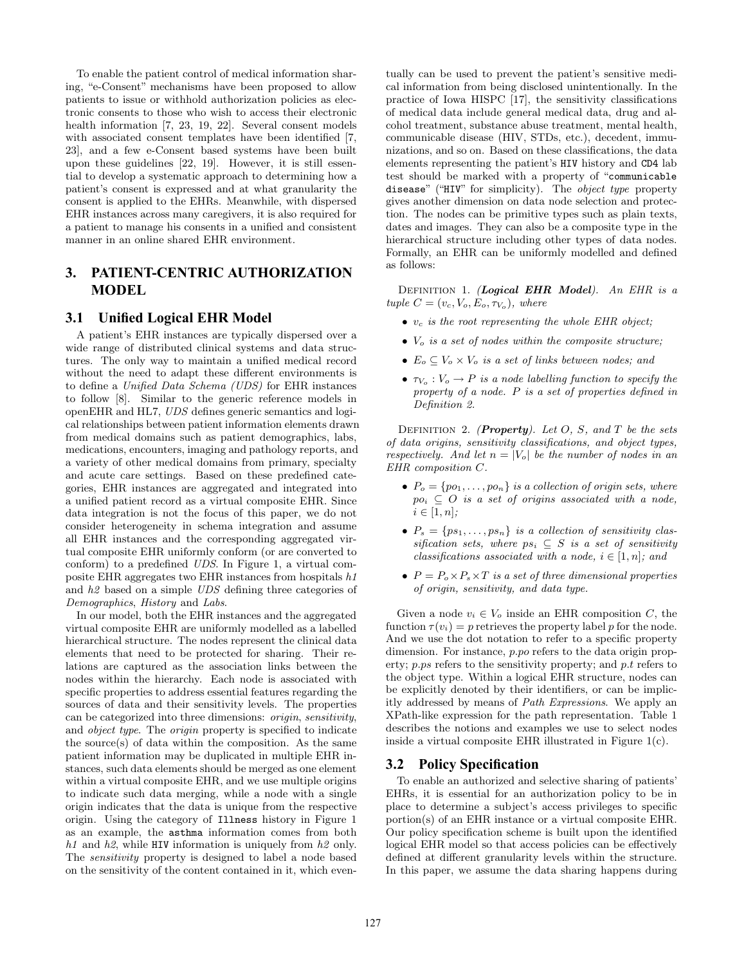To enable the patient control of medical information sharing, "e-Consent" mechanisms have been proposed to allow patients to issue or withhold authorization policies as electronic consents to those who wish to access their electronic health information [7, 23, 19, 22]. Several consent models with associated consent templates have been identified [7, 23], and a few e-Consent based systems have been built upon these guidelines [22, 19]. However, it is still essential to develop a systematic approach to determining how a patient's consent is expressed and at what granularity the consent is applied to the EHRs. Meanwhile, with dispersed EHR instances across many caregivers, it is also required for a patient to manage his consents in a unified and consistent manner in an online shared EHR environment.

# **3. PATIENT-CENTRIC AUTHORIZATION MODEL**

# **3.1 Unified Logical EHR Model**

A patient's EHR instances are typically dispersed over a wide range of distributed clinical systems and data structures. The only way to maintain a unified medical record without the need to adapt these different environments is to define a Unified Data Schema (UDS) for EHR instances to follow [8]. Similar to the generic reference models in openEHR and HL7, UDS defines generic semantics and logical relationships between patient information elements drawn from medical domains such as patient demographics, labs, medications, encounters, imaging and pathology reports, and a variety of other medical domains from primary, specialty and acute care settings. Based on these predefined categories, EHR instances are aggregated and integrated into a unified patient record as a virtual composite EHR. Since data integration is not the focus of this paper, we do not consider heterogeneity in schema integration and assume all EHR instances and the corresponding aggregated virtual composite EHR uniformly conform (or are converted to conform) to a predefined UDS. In Figure 1, a virtual composite EHR aggregates two EHR instances from hospitals h1 and h2 based on a simple UDS defining three categories of Demographics, History and Labs.

In our model, both the EHR instances and the aggregated virtual composite EHR are uniformly modelled as a labelled hierarchical structure. The nodes represent the clinical data elements that need to be protected for sharing. Their relations are captured as the association links between the nodes within the hierarchy. Each node is associated with specific properties to address essential features regarding the sources of data and their sensitivity levels. The properties can be categorized into three dimensions: origin, sensitivity, and object type. The origin property is specified to indicate the source(s) of data within the composition. As the same patient information may be duplicated in multiple EHR instances, such data elements should be merged as one element within a virtual composite EHR, and we use multiple origins to indicate such data merging, while a node with a single origin indicates that the data is unique from the respective origin. Using the category of Illness history in Figure 1 as an example, the asthma information comes from both  $h1$  and  $h2$ , while HIV information is uniquely from  $h2$  only. The sensitivity property is designed to label a node based on the sensitivity of the content contained in it, which eventually can be used to prevent the patient's sensitive medical information from being disclosed unintentionally. In the practice of Iowa HISPC [17], the sensitivity classifications of medical data include general medical data, drug and alcohol treatment, substance abuse treatment, mental health, communicable disease (HIV, STDs, etc.), decedent, immunizations, and so on. Based on these classifications, the data elements representing the patient's HIV history and CD4 lab test should be marked with a property of "communicable disease" ("HIV" for simplicity). The object type property gives another dimension on data node selection and protection. The nodes can be primitive types such as plain texts, dates and images. They can also be a composite type in the hierarchical structure including other types of data nodes. Formally, an EHR can be uniformly modelled and defined as follows:

DEFINITION 1. (Logical EHR Model). An EHR is a tuple  $C = (v_c, V_o, E_o, \tau_{V_o})$ , where

- $\bullet$  v<sub>c</sub> is the root representing the whole EHR object;
- $\bullet$   $V_o$  is a set of nodes within the composite structure;
- $E_o \subset V_o \times V_o$  is a set of links between nodes; and
- $\tau_{V_o}: V_o \to P$  is a node labelling function to specify the property of a node. P is a set of properties defined in Definition 2.

DEFINITION 2. (**Property**). Let  $O$ ,  $S$ , and  $T$  be the sets of data origins, sensitivity classifications, and object types, respectively. And let  $n = |V_o|$  be the number of nodes in an EHR composition C.

- $P_o = \{po_1, \ldots, po_n\}$  is a collection of origin sets, where  $po_i \subseteq O$  is a set of origins associated with a node,  $i \in [1, n]$ ;
- $P_s = \{ps_1, \ldots, ps_n\}$  is a collection of sensitivity classification sets, where  $ps_i \subseteq S$  is a set of sensitivity classifications associated with a node,  $i \in [1, n]$ ; and
- $P = P_o \times P_s \times T$  is a set of three dimensional properties of origin, sensitivity, and data type.

Given a node  $v_i \in V_o$  inside an EHR composition C, the function  $\tau(v_i) = p$  retrieves the property label p for the node. And we use the dot notation to refer to a specific property dimension. For instance, *p.po* refers to the data origin property; p.ps refers to the sensitivity property; and p.t refers to the object type. Within a logical EHR structure, nodes can be explicitly denoted by their identifiers, or can be implicitly addressed by means of Path Expressions. We apply an XPath-like expression for the path representation. Table 1 describes the notions and examples we use to select nodes inside a virtual composite EHR illustrated in Figure 1(c).

# **3.2 Policy Specification**

To enable an authorized and selective sharing of patients' EHRs, it is essential for an authorization policy to be in place to determine a subject's access privileges to specific portion(s) of an EHR instance or a virtual composite EHR. Our policy specification scheme is built upon the identified logical EHR model so that access policies can be effectively defined at different granularity levels within the structure. In this paper, we assume the data sharing happens during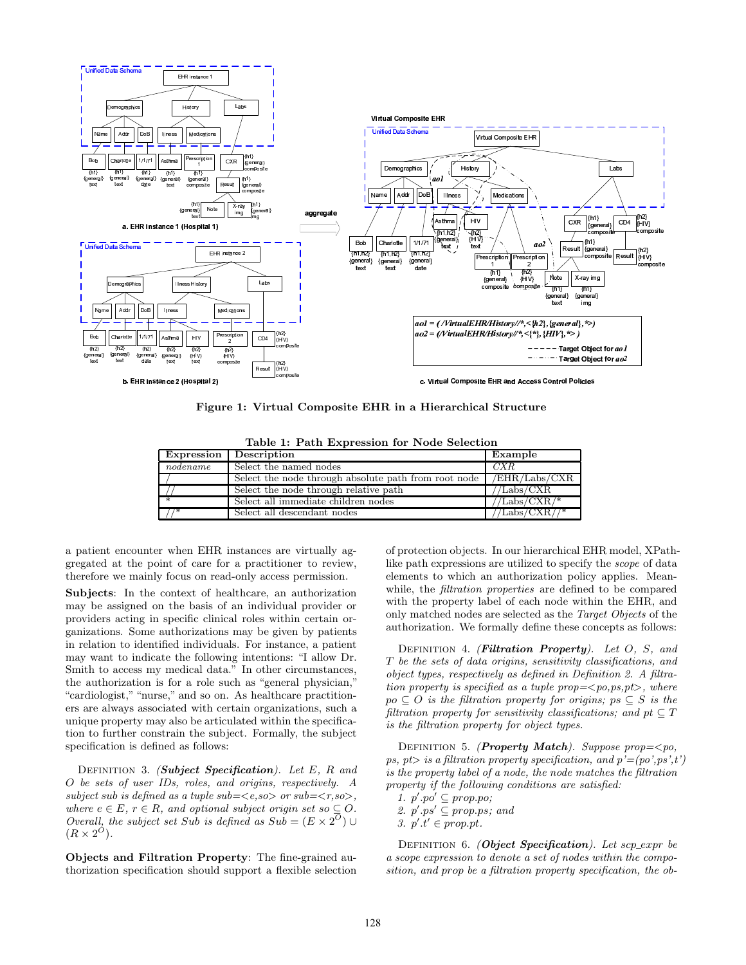

Figure 1: Virtual Composite EHR in a Hierarchical Structure

| Expression | Description                                          | Example          |
|------------|------------------------------------------------------|------------------|
| nodename   | Select the named nodes                               | CXR              |
|            | Select the node through absolute path from root node | /EHR/Labs/CXR    |
|            |                                                      |                  |
|            | Select the node through relative path                | /Labs/CXR        |
|            | Select all immediate children nodes                  | $\mu$ Labs/CXR/* |
|            | Select all descendant nodes                          | $\mu$ Labs/CXR/  |

Table 1: Path Expression for Node Selection

a patient encounter when EHR instances are virtually aggregated at the point of care for a practitioner to review, therefore we mainly focus on read-only access permission.

**Subjects:** In the context of healthcare, an authorization may be assigned on the basis of an individual provider or providers acting in specific clinical roles within certain organizations. Some authorizations may be given by patients in relation to identified individuals. For instance, a patient may want to indicate the following intentions: "I allow Dr. Smith to access my medical data." In other circumstances, the authorization is for a role such as "general physician," "cardiologist," "nurse," and so on. As healthcare practitioners are always associated with certain organizations, such a unique property may also be articulated within the specification to further constrain the subject. Formally, the subject specification is defined as follows:

DEFINITION 3. (Subject Specification). Let E, R and O be sets of user IDs, roles, and origins, respectively. A  $\label{eq:subject} subject \; sub \; is \; defined \; as \; a \; tuple \; sub=<\epsilon, so> \; or \; sub=<\!\!r, so\!\!>,$ where  $e \in E$ ,  $r \in R$ , and optional subject origin set so  $\subseteq O$ . Overall, the subject set Sub is defined as  $Sub = (E \times 2^{\overline{O}}) \cup$  $(R \times 2^{\tilde{O}}).$ 

Objects and Filtration Property: The fine-grained authorization specification should support a flexible selection

of protection objects. In our hierarchical EHR model, XPathlike path expressions are utilized to specify the *scope* of data elements to which an authorization policy applies. Meanwhile, the *filtration properties* are defined to be compared with the property label of each node within the EHR, and only matched nodes are selected as the Target Objects of the authorization. We formally define these concepts as follows:

DEFINITION 4. (Filtration Property). Let O, S, and T be the sets of data origins, sensitivity classifications, and object types, respectively as defined in Definition 2. A filtration property is specified as a tuple prop= $<$ po,ps,pt>, where  $po \subseteq O$  is the filtration property for origins;  $ps \subseteq S$  is the filtration property for sensitivity classifications; and pt  $\subseteq T$ is the filtration property for object types.

DEFINITION 5. (**Property Match**). Suppose prop= $\langle po,$ ps, pt> is a filtration property specification, and  $p'=(po',ps',t')$ is the property label of a node, the node matches the filtration property if the following conditions are satisfied:

- 1.  $p'.po' \subseteq prop.pop;$ 2.  $p'.ps' \subseteq prop.ps$ ; and
- 3.  $p'.t' \in prop.pt.$

DEFINITION 6. (Object Specification). Let scp\_expr be a scope expression to denote a set of nodes within the composition, and prop be a filtration property specification, the ob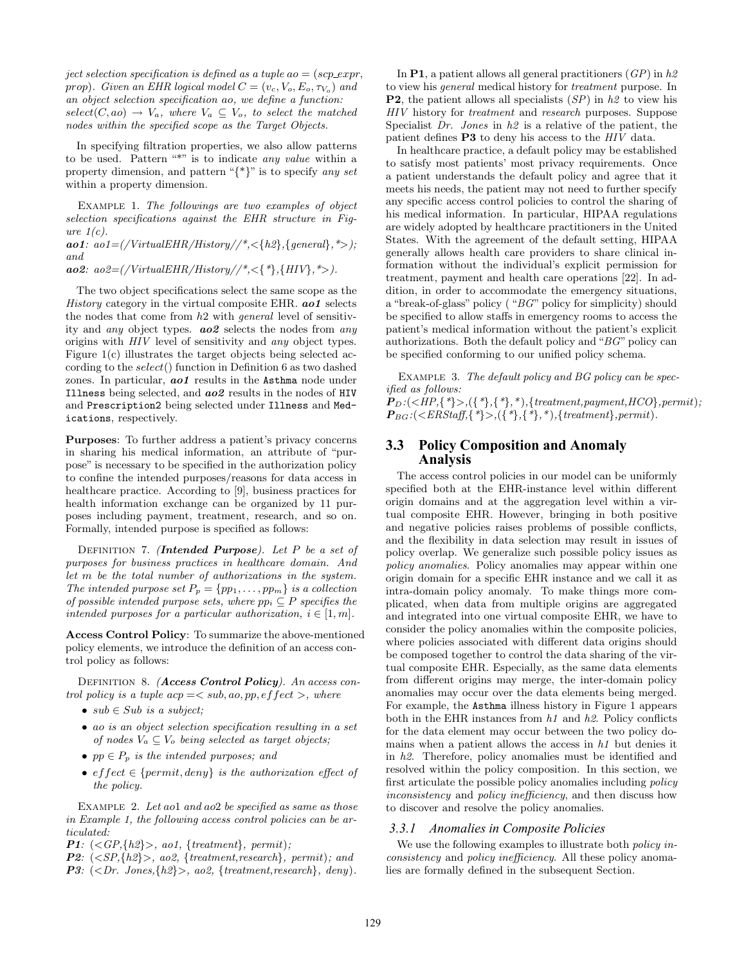ject selection specification is defined as a tuple ao  $= (scp\_expr,$ prop). Given an EHR logical model  $C = (v_c, V_o, E_o, \tau_{V_o})$  and an object selection specification ao, we define a function:  $select(C, ao) \rightarrow V_a$ , where  $V_a \subseteq V_o$ , to select the matched nodes within the specified scope as the Target Objects.

In specifying filtration properties, we also allow patterns to be used. Pattern "\*" is to indicate any value within a property dimension, and pattern " $\{*\}$ " is to specify any set within a property dimension.

EXAMPLE 1. The followings are two examples of object selection specifications against the EHR structure in Figure  $1(c)$ .

**ao1**:  $ao1 = //VirtualEHR/History// *,  $\leq h2$ ,  $\leq general$ , *>,$ and

**ao2:**  $ao2 = //Virtual EHR/History// *, < {*, HIV}, *>.$ 

The two object specifications select the same scope as the History category in the virtual composite EHR.  $\omega_1$  selects the nodes that come from  $h2$  with *general* level of sensitivity and any object types. ao2 selects the nodes from any origins with HIV level of sensitivity and any object types. Figure 1(c) illustrates the target objects being selected according to the select() function in Definition 6 as two dashed zones. In particular,  $a \cdot a \cdot 1$  results in the Asthma node under Illness being selected, and ao2 results in the nodes of HIV and Prescription2 being selected under Illness and Medications, respectively.

Purposes: To further address a patient's privacy concerns in sharing his medical information, an attribute of "purpose" is necessary to be specified in the authorization policy to confine the intended purposes/reasons for data access in healthcare practice. According to [9], business practices for health information exchange can be organized by 11 purposes including payment, treatment, research, and so on. Formally, intended purpose is specified as follows:

DEFINITION 7. (**Intended Purpose**). Let  $P$  be a set of purposes for business practices in healthcare domain. And let m be the total number of authorizations in the system. The intended purpose set  $P_p = \{pp_1, \ldots, pp_m\}$  is a collection of possible intended purpose sets, where  $pp_i \subseteq P$  specifies the intended purposes for a particular authorization,  $i \in [1, m]$ .

Access Control Policy: To summarize the above-mentioned policy elements, we introduce the definition of an access control policy as follows:

DEFINITION 8. (Access Control Policy). An access control policy is a tuple  $acp = \langle sub, ao, pp, ef fect \rangle$ , where

- $sub \in Sub$  is a subject;
- ao is an object selection specification resulting in a set of nodes  $V_a \subseteq V_o$  being selected as target objects;
- $pp \in P_p$  is the intended purposes; and
- $effect \in \{permit, deny\}$  is the authorization effect of the policy.

EXAMPLE 2. Let ao1 and ao2 be specified as same as those in Example 1, the following access control policies can be articulated:

- P1:  $(<$ GP, $\{h2\}$ >, ao1,  $\{treatment\}$ , permit);
- **P2**:  $\langle \langle SP, \{h2\} \rangle$ , ao2,  $\{treatment, research\}$ , permit); and **P3**:  $\langle$   $\langle Dr. Jones, \{h2\} \rangle$ , ao2,  $\{treatment, research\}$ , deny).

In P1, a patient allows all general practitioners  $(GP)$  in  $h\mathcal{Z}$ to view his general medical history for treatment purpose. In **P2**, the patient allows all specialists  $(SP)$  in  $h\mathcal{Q}$  to view his HIV history for treatment and research purposes. Suppose Specialist  $Dr.$  Jones in  $h\mathcal{Z}$  is a relative of the patient, the patient defines P3 to deny his access to the HIV data.

In healthcare practice, a default policy may be established to satisfy most patients' most privacy requirements. Once a patient understands the default policy and agree that it meets his needs, the patient may not need to further specify any specific access control policies to control the sharing of his medical information. In particular, HIPAA regulations are widely adopted by healthcare practitioners in the United States. With the agreement of the default setting, HIPAA generally allows health care providers to share clinical information without the individual's explicit permission for treatment, payment and health care operations [22]. In addition, in order to accommodate the emergency situations, a "break-of-glass" policy ( "BG" policy for simplicity) should be specified to allow staffs in emergency rooms to access the patient's medical information without the patient's explicit authorizations. Both the default policy and " $BG$ " policy can be specified conforming to our unified policy schema.

Example 3. The default policy and BG policy can be specified as follows:  $\mathbf{P}_D$ :(<HP,{\*}>,({\*},{\*},\*),{treatment,payment,HCO},permit);  $\mathbf{P}_{BG}.(\langle ERStaff, \{*\}, \{*\}, \{*\}, \{treatment\}, permit).$ 

# **3.3 Policy Composition and Anomaly Analysis**

The access control policies in our model can be uniformly specified both at the EHR-instance level within different origin domains and at the aggregation level within a virtual composite EHR. However, bringing in both positive and negative policies raises problems of possible conflicts, and the flexibility in data selection may result in issues of policy overlap. We generalize such possible policy issues as policy anomalies. Policy anomalies may appear within one origin domain for a specific EHR instance and we call it as intra-domain policy anomaly. To make things more complicated, when data from multiple origins are aggregated and integrated into one virtual composite EHR, we have to consider the policy anomalies within the composite policies, where policies associated with different data origins should be composed together to control the data sharing of the virtual composite EHR. Especially, as the same data elements from different origins may merge, the inter-domain policy anomalies may occur over the data elements being merged. For example, the Asthma illness history in Figure 1 appears both in the EHR instances from  $h1$  and  $h2$ . Policy conflicts for the data element may occur between the two policy domains when a patient allows the access in h1 but denies it in h2. Therefore, policy anomalies must be identified and resolved within the policy composition. In this section, we first articulate the possible policy anomalies including policy inconsistency and policy inefficiency, and then discuss how to discover and resolve the policy anomalies.

#### *3.3.1 Anomalies in Composite Policies*

We use the following examples to illustrate both *policy* inconsistency and policy inefficiency. All these policy anomalies are formally defined in the subsequent Section.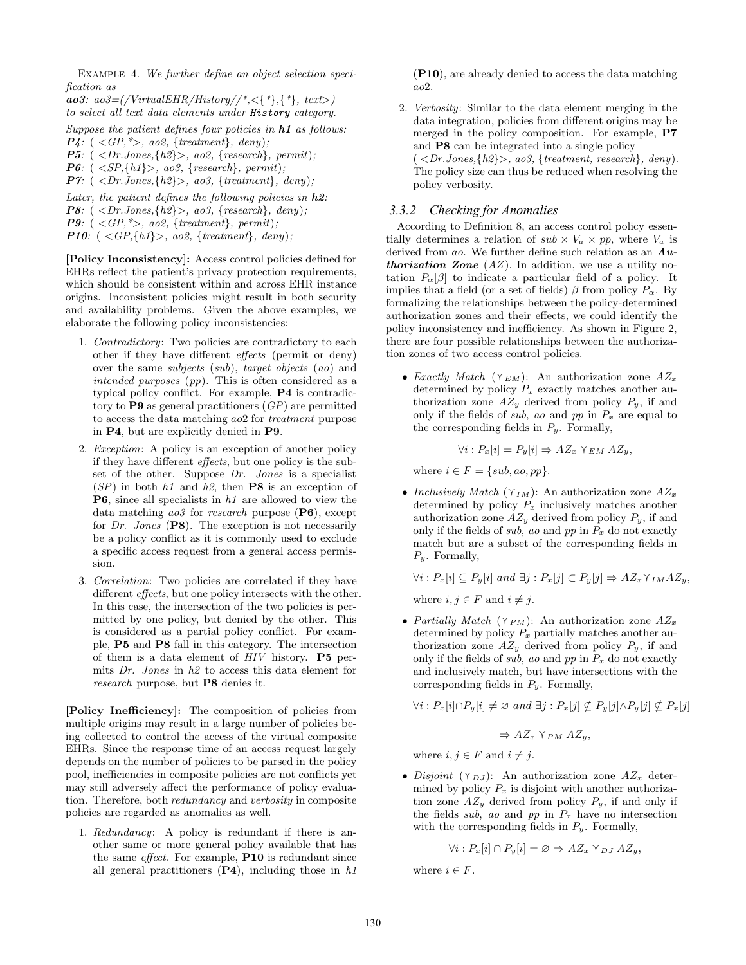EXAMPLE 4. We further define an object selection specification as

**ao3**:  $a \circ 3 = //Virtual EHR/History// *, < {*, *}, *$ to select all text data elements under History category.

Suppose the patient defines four policies in  $h1$  as follows:

- $P4:$   $( $GP, \leq$ , ao2, {treatment}, deny);$
- **P5**:  $\langle$  <*Dr.Jones*, $\{h2\}$ >, *ao2*,  $\{res\}$ , *permit*);
- **P6**:  $(\langle \text{SP}, \{h1\} \rangle, \text{ a}o3, \{\text{research}\}, \text{ permit}\},\$
- **P7:**  $\acute{C}$  <Dr.Jones, $\{h2\}$ >, ao3,  $\{treatment\}$ , deny);
- Later, the patient defines the following policies in  $h2$ :
- **P8**:  $\langle$  <*Dr.Jones*, $\{h2\}$ >, *ao3*,  $\{res\}$ , *deny*);
- **P9**:  $(*GP*,  $\diamond$ ), ao2, {treatment}, permit);$
- **P10:**  $(*GP*, *h1*) >$ , ao2,  ${treatment}$ , deny);

[Policy Inconsistency]: Access control policies defined for EHRs reflect the patient's privacy protection requirements, which should be consistent within and across EHR instance origins. Inconsistent policies might result in both security and availability problems. Given the above examples, we elaborate the following policy inconsistencies:

- 1. Contradictory: Two policies are contradictory to each other if they have different effects (permit or deny) over the same subjects (sub), target objects (ao) and intended purposes (pp). This is often considered as a typical policy conflict. For example, P4 is contradictory to **P9** as general practitioners  $GP$  are permitted to access the data matching ao2 for treatment purpose in P4, but are explicitly denied in P9.
- 2. Exception: A policy is an exception of another policy if they have different effects, but one policy is the subset of the other. Suppose Dr. Jones is a specialist  $(SP)$  in both h1 and h2, then P8 is an exception of **P6**, since all specialists in  $h1$  are allowed to view the data matching  $a\sigma^2$  for research purpose (P6), except for  $Dr.$  Jones  $(P8)$ . The exception is not necessarily be a policy conflict as it is commonly used to exclude a specific access request from a general access permission.
- 3. Correlation: Two policies are correlated if they have different *effects*, but one policy intersects with the other. In this case, the intersection of the two policies is permitted by one policy, but denied by the other. This is considered as a partial policy conflict. For example, P5 and P8 fall in this category. The intersection of them is a data element of HIV history. P5 permits Dr. Jones in h2 to access this data element for research purpose, but P8 denies it.

[Policy Inefficiency]: The composition of policies from multiple origins may result in a large number of policies being collected to control the access of the virtual composite EHRs. Since the response time of an access request largely depends on the number of policies to be parsed in the policy pool, inefficiencies in composite policies are not conflicts yet may still adversely affect the performance of policy evaluation. Therefore, both redundancy and verbosity in composite policies are regarded as anomalies as well.

1. Redundancy: A policy is redundant if there is another same or more general policy available that has the same effect. For example, P10 is redundant since all general practitioners  $(P4)$ , including those in h1

(P10), are already denied to access the data matching ao2.

2. Verbosity: Similar to the data element merging in the data integration, policies from different origins may be merged in the policy composition. For example, P7 and P8 can be integrated into a single policy  $\{ , ao3, \{treatment, research\}, \, deny).$ The policy size can thus be reduced when resolving the policy verbosity.

#### *3.3.2 Checking for Anomalies*

According to Definition 8, an access control policy essentially determines a relation of  $sub \times V_a \times pp$ , where  $V_a$  is derived from ao. We further define such relation as an  $Au$ *thorization Zone*  $(AZ)$ . In addition, we use a utility notation  $P_{\alpha}[\beta]$  to indicate a particular field of a policy. It implies that a field (or a set of fields)  $\beta$  from policy  $P_{\alpha}$ . By formalizing the relationships between the policy-determined authorization zones and their effects, we could identify the policy inconsistency and inefficiency. As shown in Figure 2, there are four possible relationships between the authorization zones of two access control policies.

• Exactly Match  $(\gamma_{EM})$ : An authorization zone  $AZ_x$ determined by policy  $P_x$  exactly matches another authorization zone  $AZ_y$  derived from policy  $P_y$ , if and only if the fields of sub, ao and pp in  $P_x$  are equal to the corresponding fields in  $P_y$ . Formally,

$$
\forall i: P_x[i] = P_y[i] \Rightarrow AZ_x \vee_{EM} AZ_y,
$$

where  $i \in F = \{sub, ao, pp\}.$ 

• Inclusively Match  $(\gamma_{IM})$ : An authorization zone  $AZ_x$ determined by policy  $P<sub>x</sub>$  inclusively matches another authorization zone  $AZ_y$  derived from policy  $P_y$ , if and only if the fields of sub, ao and  $pp$  in  $P_x$  do not exactly match but are a subset of the corresponding fields in  $P_y$ . Formally,

 $\forall i : P_x[i] \subseteq P_y[i]$  and  $\exists j : P_x[j] \subset P_y[j] \Rightarrow AZ_x \curlyvee_{IM} AZ_y$ ,

where  $i, j \in F$  and  $i \neq j$ .

• Partially Match ( $\gamma_{PM}$ ): An authorization zone  $AZ_x$ determined by policy  $P_x$  partially matches another authorization zone  $AZ_y$  derived from policy  $P_y$ , if and only if the fields of sub, ao and pp in  $P_x$  do not exactly and inclusively match, but have intersections with the corresponding fields in  $P_y$ . Formally,

$$
\forall i: P_x[i] \cap P_y[i] \neq \varnothing \ and \ \exists j: P_x[j] \nsubseteq P_y[j] \land P_y[j] \nsubseteq P_x[j]
$$

$$
\Rightarrow AZ_x \curlyvee_{PM} AZ_y,
$$

where  $i, j \in F$  and  $i \neq j$ .

• Disjoint  $(\gamma_{DJ})$ : An authorization zone  $AZ_x$  determined by policy  $P_x$  is disjoint with another authorization zone  $AZ_y$  derived from policy  $P_y$ , if and only if the fields sub, ao and  $pp$  in  $P_x$  have no intersection with the corresponding fields in  $P_y$ . Formally,

$$
\forall i: P_x[i] \cap P_y[i] = \varnothing \Rightarrow AZ_x \curlyvee_{DJ} AZ_y,
$$

where  $i \in F$ .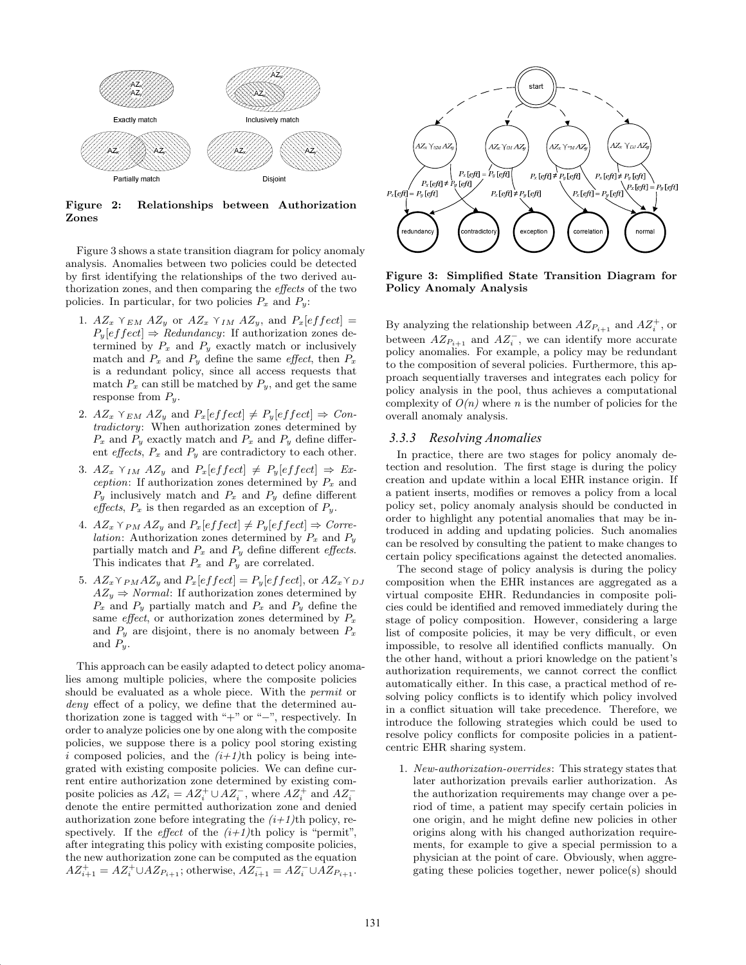

Figure 2: Relationships between Authorization Zones

Figure 3 shows a state transition diagram for policy anomaly analysis. Anomalies between two policies could be detected by first identifying the relationships of the two derived authorization zones, and then comparing the effects of the two policies. In particular, for two policies  $P_x$  and  $P_y$ :

- 1.  $AZ_x \nightharpoonup_{EM} AZ_y$  or  $AZ_x \nightharpoonup_{IM} AZ_y$ , and  $P_x[effect] =$  $P_y[effect] \Rightarrow Redundancy:$  If authorization zones determined by  $P_x$  and  $P_y$  exactly match or inclusively match and  $P_x$  and  $P_y$  define the same *effect*, then  $P_x$ is a redundant policy, since all access requests that match  $P_x$  can still be matched by  $P_y$ , and get the same response from  $P_y$ .
- 2.  $AZ_x \nabla_{EM} AZ_y$  and  $P_x[effect] \neq P_y[effect] \Rightarrow Con$ tradictory: When authorization zones determined by  $P_x$  and  $P_y$  exactly match and  $P_x$  and  $P_y$  define different *effects*,  $P_x$  and  $P_y$  are contradictory to each other.
- 3.  $AZ_x \nightharpoonup_{IM} AZ_y$  and  $P_x[effect] \neq P_y[effect] \Rightarrow Ex$ ception: If authorization zones determined by  $P_x$  and  $P_y$  inclusively match and  $P_x$  and  $P_y$  define different effects,  $P_x$  is then regarded as an exception of  $P_y$ .
- 4.  $AZ_x \negthinspace \vee \negthinspace P_M \, AZ_y$  and  $P_x[effect] \neq P_y[effect] \Rightarrow \text{Corre-}$ *lation*: Authorization zones determined by  $P_x$  and  $P_y$ partially match and  $P_x$  and  $P_y$  define different effects. This indicates that  $P_x$  and  $P_y$  are correlated.
- 5.  $AZ_x\gamma_{PM}AZ_y$  and  $P_x[effect] = P_y[effect]$ , or  $AZ_x\gamma_{DJ}$  $AZ_y \Rightarrow Normal:$  If authorization zones determined by  $P_x$  and  $P_y$  partially match and  $P_x$  and  $P_y$  define the same *effect*, or authorization zones determined by  $P_x$ and  $P_y$  are disjoint, there is no anomaly between  $P_x$ and  $P_y$ .

This approach can be easily adapted to detect policy anomalies among multiple policies, where the composite policies should be evaluated as a whole piece. With the permit or deny effect of a policy, we define that the determined authorization zone is tagged with "+" or "−", respectively. In order to analyze policies one by one along with the composite policies, we suppose there is a policy pool storing existing i composed policies, and the  $(i+1)$ <sup>th</sup> policy is being integrated with existing composite policies. We can define current entire authorization zone determined by existing composite policies as  $AZ_i = AZ_i^+ \cup AZ_i^-$ , where  $AZ_i^+$  and  $AZ_i^$ denote the entire permitted authorization zone and denied authorization zone before integrating the  $(i+1)$ <sup>th</sup> policy, respectively. If the *effect* of the  $(i+1)$ <sup>th</sup> policy is "permit", after integrating this policy with existing composite policies, the new authorization zone can be computed as the equation  $AZ_{i+1}^+ = AZ_i^+ \cup AZ_{P_{i+1}}$ ; otherwise,  $AZ_{i+1}^- = AZ_i^- \cup AZ_{P_{i+1}}$ .



Figure 3: Simplified State Transition Diagram for Policy Anomaly Analysis

By analyzing the relationship between  $AZ_{P_{i+1}}$  and  $AZ_i^+$ , or between  $AZ_{P_{i+1}}$  and  $AZ_i^-$ , we can identify more accurate policy anomalies. For example, a policy may be redundant to the composition of several policies. Furthermore, this approach sequentially traverses and integrates each policy for policy analysis in the pool, thus achieves a computational complexity of  $O(n)$  where n is the number of policies for the overall anomaly analysis.

#### *3.3.3 Resolving Anomalies*

In practice, there are two stages for policy anomaly detection and resolution. The first stage is during the policy creation and update within a local EHR instance origin. If a patient inserts, modifies or removes a policy from a local policy set, policy anomaly analysis should be conducted in order to highlight any potential anomalies that may be introduced in adding and updating policies. Such anomalies can be resolved by consulting the patient to make changes to certain policy specifications against the detected anomalies.

The second stage of policy analysis is during the policy composition when the EHR instances are aggregated as a virtual composite EHR. Redundancies in composite policies could be identified and removed immediately during the stage of policy composition. However, considering a large list of composite policies, it may be very difficult, or even impossible, to resolve all identified conflicts manually. On the other hand, without a priori knowledge on the patient's authorization requirements, we cannot correct the conflict automatically either. In this case, a practical method of resolving policy conflicts is to identify which policy involved in a conflict situation will take precedence. Therefore, we introduce the following strategies which could be used to resolve policy conflicts for composite policies in a patientcentric EHR sharing system.

1. New-authorization-overrides: This strategy states that later authorization prevails earlier authorization. As the authorization requirements may change over a period of time, a patient may specify certain policies in one origin, and he might define new policies in other origins along with his changed authorization requirements, for example to give a special permission to a physician at the point of care. Obviously, when aggregating these policies together, newer police(s) should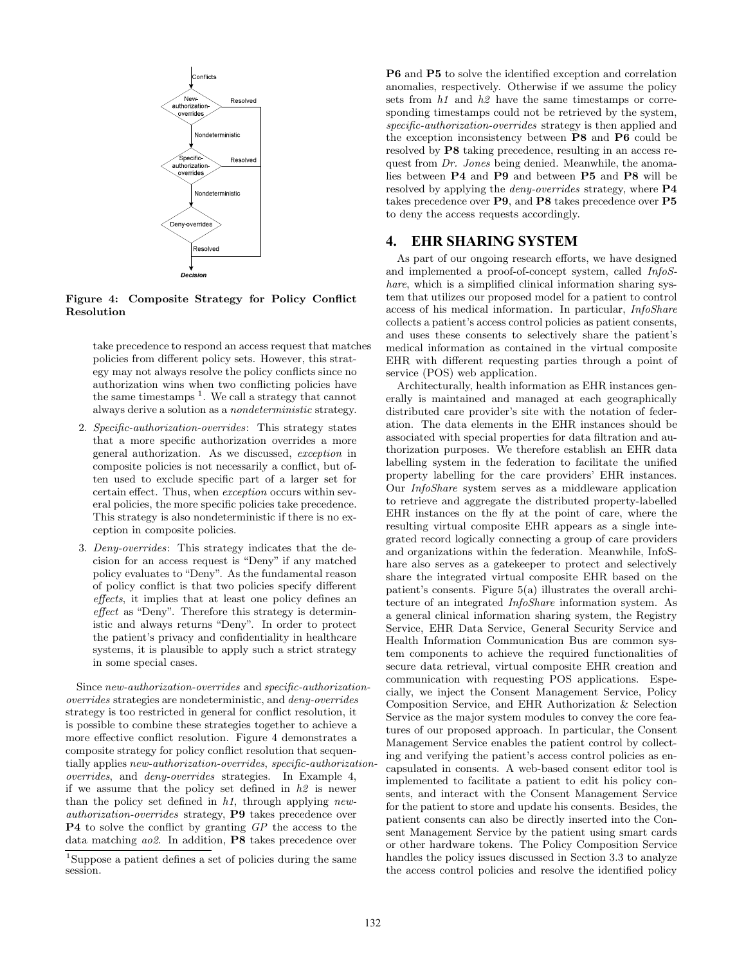

Figure 4: Composite Strategy for Policy Conflict Resolution

take precedence to respond an access request that matches policies from different policy sets. However, this strategy may not always resolve the policy conflicts since no authorization wins when two conflicting policies have the same timestamps <sup>1</sup>. We call a strategy that cannot always derive a solution as a nondeterministic strategy.

- 2. Specific-authorization-overrides: This strategy states that a more specific authorization overrides a more general authorization. As we discussed, exception in composite policies is not necessarily a conflict, but often used to exclude specific part of a larger set for certain effect. Thus, when exception occurs within several policies, the more specific policies take precedence. This strategy is also nondeterministic if there is no exception in composite policies.
- 3. Deny-overrides: This strategy indicates that the decision for an access request is "Deny" if any matched policy evaluates to "Deny". As the fundamental reason of policy conflict is that two policies specify different effects, it implies that at least one policy defines an effect as "Deny". Therefore this strategy is deterministic and always returns "Deny". In order to protect the patient's privacy and confidentiality in healthcare systems, it is plausible to apply such a strict strategy in some special cases.

Since new-authorization-overrides and specific-authorizationoverrides strategies are nondeterministic, and deny-overrides strategy is too restricted in general for conflict resolution, it is possible to combine these strategies together to achieve a more effective conflict resolution. Figure 4 demonstrates a composite strategy for policy conflict resolution that sequentially applies new-authorization-overrides, specific-authorizationoverrides, and deny-overrides strategies. In Example 4, if we assume that the policy set defined in  $h\mathcal{Q}$  is newer than the policy set defined in  $h1$ , through applying newauthorization-overrides strategy, P9 takes precedence over  $P4$  to solve the conflict by granting  $GP$  the access to the data matching ao2. In addition, P8 takes precedence over

P6 and P5 to solve the identified exception and correlation anomalies, respectively. Otherwise if we assume the policy sets from  $h1$  and  $h2$  have the same timestamps or corresponding timestamps could not be retrieved by the system, specific-authorization-overrides strategy is then applied and the exception inconsistency between P8 and P6 could be resolved by P8 taking precedence, resulting in an access request from Dr. Jones being denied. Meanwhile, the anomalies between P4 and P9 and between P5 and P8 will be resolved by applying the deny-overrides strategy, where P4 takes precedence over P9, and P8 takes precedence over P5 to deny the access requests accordingly.

# **4. EHR SHARING SYSTEM**

As part of our ongoing research efforts, we have designed and implemented a proof-of-concept system, called InfoShare, which is a simplified clinical information sharing system that utilizes our proposed model for a patient to control access of his medical information. In particular, InfoShare collects a patient's access control policies as patient consents, and uses these consents to selectively share the patient's medical information as contained in the virtual composite EHR with different requesting parties through a point of service (POS) web application.

Architecturally, health information as EHR instances generally is maintained and managed at each geographically distributed care provider's site with the notation of federation. The data elements in the EHR instances should be associated with special properties for data filtration and authorization purposes. We therefore establish an EHR data labelling system in the federation to facilitate the unified property labelling for the care providers' EHR instances. Our InfoShare system serves as a middleware application to retrieve and aggregate the distributed property-labelled EHR instances on the fly at the point of care, where the resulting virtual composite EHR appears as a single integrated record logically connecting a group of care providers and organizations within the federation. Meanwhile, InfoShare also serves as a gatekeeper to protect and selectively share the integrated virtual composite EHR based on the patient's consents. Figure 5(a) illustrates the overall architecture of an integrated InfoShare information system. As a general clinical information sharing system, the Registry Service, EHR Data Service, General Security Service and Health Information Communication Bus are common system components to achieve the required functionalities of secure data retrieval, virtual composite EHR creation and communication with requesting POS applications. Especially, we inject the Consent Management Service, Policy Composition Service, and EHR Authorization & Selection Service as the major system modules to convey the core features of our proposed approach. In particular, the Consent Management Service enables the patient control by collecting and verifying the patient's access control policies as encapsulated in consents. A web-based consent editor tool is implemented to facilitate a patient to edit his policy consents, and interact with the Consent Management Service for the patient to store and update his consents. Besides, the patient consents can also be directly inserted into the Consent Management Service by the patient using smart cards or other hardware tokens. The Policy Composition Service handles the policy issues discussed in Section 3.3 to analyze the access control policies and resolve the identified policy

<sup>&</sup>lt;sup>1</sup>Suppose a patient defines a set of policies during the same session.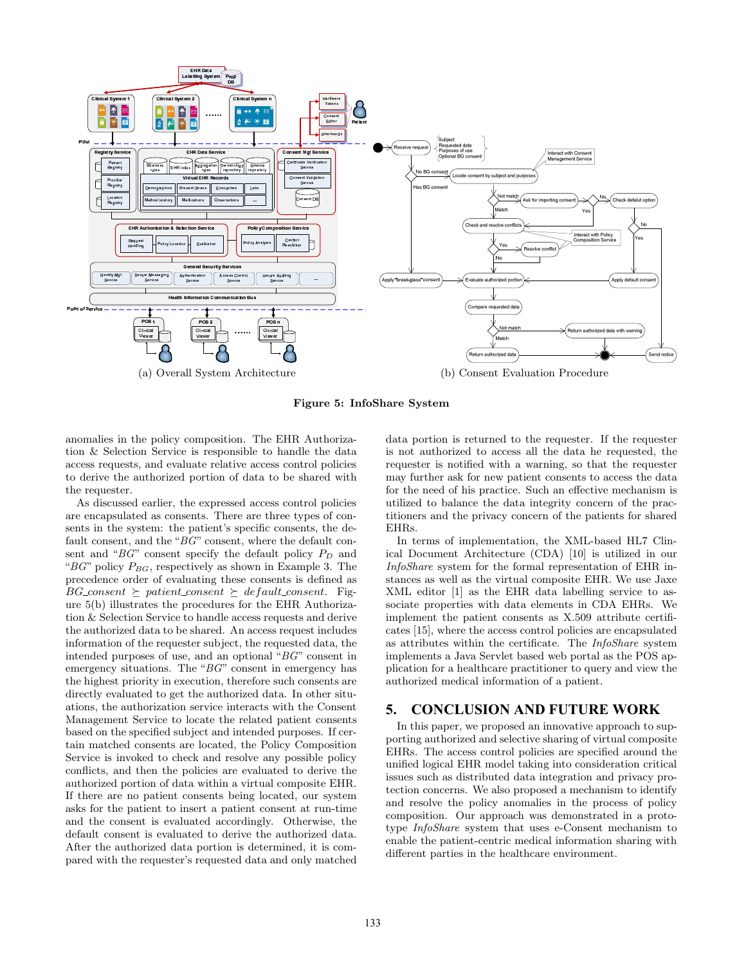

Figure 5: InfoShare System

anomalies in the policy composition. The EHR Authorization & Selection Service is responsible to handle the data access requests, and evaluate relative access control policies to derive the authorized portion of data to be shared with the requester.

As discussed earlier, the expressed access control policies are encapsulated as consents. There are three types of consents in the system: the patient's specific consents, the default consent, and the " $BG$ " consent, where the default consent and "BG" consent specify the default policy  $P_D$  and "BG" policy  $P_{BG}$ , respectively as shown in Example 3. The precedence order of evaluating these consents is defined as  $BG\_constant \geq patient\_constant \geq default\_constant$ . Fig- $\mu$  ure 5(b) illustrates the procedures for the EHR Authorization & Selection Service to handle access requests and derive the authorized data to be shared. An access request includes information of the requester subject, the requested data, the intended purposes of use, and an optional " $BG$ " consent in emergency situations. The " $BG$ " consent in emergency has the highest priority in execution, therefore such consents are directly evaluated to get the authorized data. In other situations, the authorization service interacts with the Consent Management Service to locate the related patient consents based on the specified subject and intended purposes. If certain matched consents are located, the Policy Composition Service is invoked to check and resolve any possible policy conflicts, and then the policies are evaluated to derive the authorized portion of data within a virtual composite EHR. If there are no patient consents being located, our system asks for the patient to insert a patient consent at run-time and the consent is evaluated accordingly. Otherwise, the default consent is evaluated to derive the authorized data. After the authorized data portion is determined, it is compared with the requester's requested data and only matched

data portion is returned to the requester. If the requester is not authorized to access all the data he requested, the requester is notified with a warning, so that the requester may further ask for new patient consents to access the data for the need of his practice. Such an effective mechanism is utilized to balance the data integrity concern of the practitioners and the privacy concern of the patients for shared EHRs.

In terms of implementation, the XML-based HL7 Clinical Document Architecture (CDA) [10] is utilized in our *InfoShare* system for the formal representation of EHR instances as well as the virtual composite EHR. We use Jaxe XML editor [1] as the EHR data labelling service to associate properties with data elements in CDA EHRs. We implement the patient consents as X.509 attribute certificates [15], where the access control policies are encapsulated as attributes within the certificate. The InfoShare system implements a Java Servlet based web portal as the POS application for a healthcare practitioner to query and view the authorized medical information of a patient.

#### **CONCLUSION AND FUTURE WORK** 5.

In this paper, we proposed an innovative approach to supporting authorized and selective sharing of virtual composite EHRs. The access control policies are specified around the unified logical EHR model taking into consideration critical issues such as distributed data integration and privacy protection concerns. We also proposed a mechanism to identify and resolve the policy anomalies in the process of policy composition. Our approach was demonstrated in a prototype InfoShare system that uses e-Consent mechanism to enable the patient-centric medical information sharing with different parties in the healthcare environment.